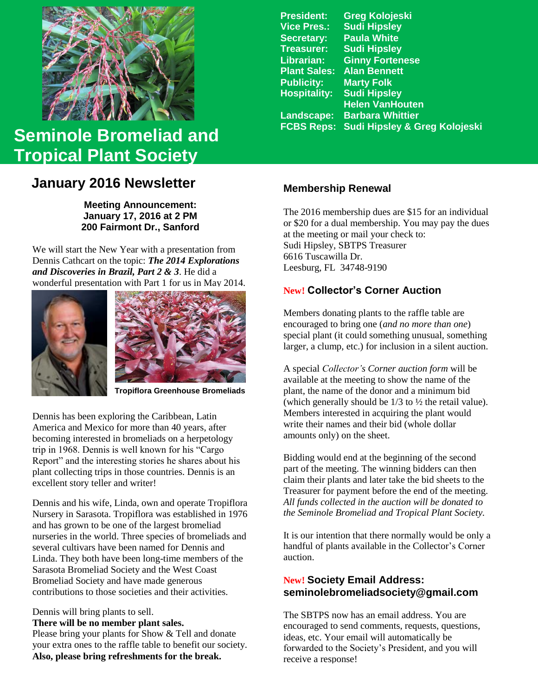

# **FCBS Reps: Sudi Hipsley & Greg Kolojeski Seminole Bromeliad and Tropical Plant Society**

# **January 2016 Newsletter**

**Meeting Announcement: January 17, 2016 at 2 PM 200 Fairmont Dr., Sanford**

We will start the New Year with a presentation from Dennis Cathcart on the topic: *The 2014 Explorations and Discoveries in Brazil, Part 2 & 3*. He did a wonderful presentation with Part 1 for us in May 2014.





**Tropiflora Greenhouse Bromeliads**

Dennis has been exploring the Caribbean, Latin America and Mexico for more than 40 years, after becoming interested in bromeliads on a herpetology trip in 1968. Dennis is well known for his "Cargo Report" and the interesting stories he shares about his plant collecting trips in those countries. Dennis is an excellent story teller and writer!

Dennis and his wife, Linda, own and operate Tropiflora Nursery in Sarasota. Tropiflora was established in 1976 and has grown to be one of the largest bromeliad nurseries in the world. Three species of bromeliads and several cultivars have been named for Dennis and Linda. They both have been long-time members of the Sarasota Bromeliad Society and the West Coast Bromeliad Society and have made generous contributions to those societies and their activities.

Dennis will bring plants to sell.

**There will be no member plant sales.** Please bring your plants for Show & Tell and donate your extra ones to the raffle table to benefit our society. **Also, please bring refreshments for the break.**

**President: Greg Kolojeski Vice Pres.: Sudi Hipsley Secretary: Paula White Treasurer: Sudi Hipsley Librarian: Ginny Fortenese Plant Sales: Alan Bennett Publicity: Marty Folk Hospitality: Sudi Hipsley Helen VanHouten Landscape: Barbara Whittier**

# **Membership Renewal**

The 2016 membership dues are \$15 for an individual or \$20 for a dual membership. You may pay the dues at the meeting or mail your check to: Sudi Hipsley, SBTPS Treasurer 6616 Tuscawilla Dr. Leesburg, FL 34748-9190

# **New! Collector's Corner Auction**

Members donating plants to the raffle table are encouraged to bring one (*and no more than one*) special plant (it could something unusual, something larger, a clump, etc.) for inclusion in a silent auction.

A special *Collector's Corner auction form* will be available at the meeting to show the name of the plant, the name of the donor and a minimum bid (which generally should be 1/3 to ½ the retail value). Members interested in acquiring the plant would write their names and their bid (whole dollar amounts only) on the sheet.

Bidding would end at the beginning of the second part of the meeting. The winning bidders can then claim their plants and later take the bid sheets to the Treasurer for payment before the end of the meeting. *All funds collected in the auction will be donated to the Seminole Bromeliad and Tropical Plant Society.*

It is our intention that there normally would be only a handful of plants available in the Collector's Corner auction.

#### **New! Society Email Address: seminolebromeliadsociety@gmail.com**

The SBTPS now has an email address. You are encouraged to send comments, requests, questions, ideas, etc. Your email will automatically be forwarded to the Society's President, and you will receive a response!